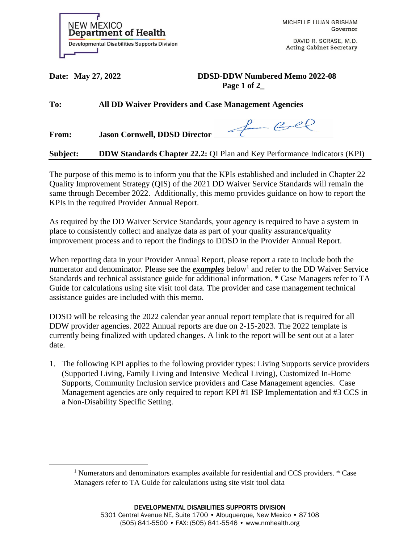

MICHELLE LUJAN GRISHAM Governor

DAVID R. SCRASE, M.D. **Acting Cabinet Secretary** 

**Date: May 27, 2022 DDSD-DDW Numbered Memo 2022-08 Page 1 of 2\_**

**To: All DD Waiver Providers and Case Management Agencies**

**From: Jason Cornwell, DDSD Director** 

**Subject: DDW Standards Chapter 22.2:** QI Plan and Key Performance Indicators (KPI)

The purpose of this memo is to inform you that the KPIs established and included in Chapter 22 Quality Improvement Strategy (QIS) of the 2021 DD Waiver Service Standards will remain the same through December 2022. Additionally, this memo provides guidance on how to report the KPIs in the required Provider Annual Report.

As required by the DD Waiver Service Standards, your agency is required to have a system in place to consistently collect and analyze data as part of your quality assurance/quality improvement process and to report the findings to DDSD in the Provider Annual Report.

When reporting data in your Provider Annual Report, please report a rate to include both the numerator and denominator. Please see the *examples* below<sup>1</sup> and refer to the DD Waiver Service Standards and technical assistance guide for additional information. \* Case Managers refer to TA Guide for calculations using site visit tool data. The provider and case management technical assistance guides are included with this memo.

DDSD will be releasing the 2022 calendar year annual report template that is required for all DDW provider agencies. 2022 Annual reports are due on 2-15-2023. The 2022 template is currently being finalized with updated changes. A link to the report will be sent out at a later date.

1. The following KPI applies to the following provider types: Living Supports service providers (Supported Living, Family Living and Intensive Medical Living), Customized In-Home Supports, Community Inclusion service providers and Case Management agencies. Case Management agencies are only required to report KPI #1 ISP Implementation and #3 CCS in a Non-Disability Specific Setting.

<sup>1</sup> Numerators and denominators examples available for residential and CCS providers. \* Case Managers refer to TA Guide for calculations using site visit tool data